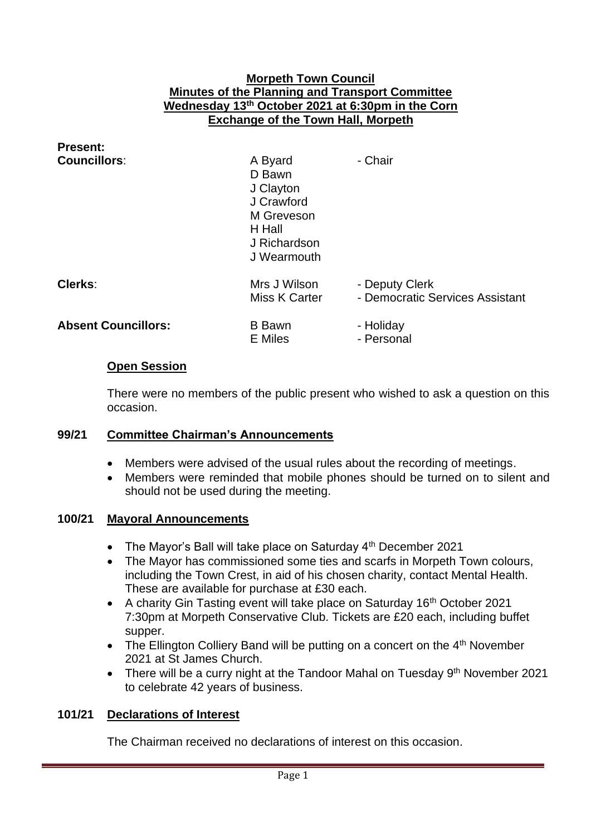#### **Morpeth Town Council Minutes of the Planning and Transport Committee Wednesday 13th October 2021 at 6:30pm in the Corn Exchange of the Town Hall, Morpeth**

| <b>Present:</b>            |                                                                                                     |                                                   |
|----------------------------|-----------------------------------------------------------------------------------------------------|---------------------------------------------------|
| <b>Councillors:</b>        | A Byard<br>D Bawn<br>J Clayton<br>J Crawford<br>M Greveson<br>H Hall<br>J Richardson<br>J Wearmouth | - Chair                                           |
| Clerks:                    | Mrs J Wilson<br>Miss K Carter                                                                       | - Deputy Clerk<br>- Democratic Services Assistant |
| <b>Absent Councillors:</b> | <b>B</b> Bawn<br><b>E</b> Miles                                                                     | - Holiday<br>- Personal                           |
| A. A. <b>.</b>             |                                                                                                     |                                                   |

#### **Open Session**

There were no members of the public present who wished to ask a question on this occasion.

#### **99/21 Committee Chairman's Announcements**

- Members were advised of the usual rules about the recording of meetings.
- Members were reminded that mobile phones should be turned on to silent and should not be used during the meeting.

#### **100/21 Mayoral Announcements**

- The Mayor's Ball will take place on Saturday  $4<sup>th</sup>$  December 2021
- The Mayor has commissioned some ties and scarfs in Morpeth Town colours, including the Town Crest, in aid of his chosen charity, contact Mental Health. These are available for purchase at £30 each.
- A charity Gin Tasting event will take place on Saturday 16<sup>th</sup> October 2021 7:30pm at Morpeth Conservative Club. Tickets are £20 each, including buffet supper.
- The Ellington Colliery Band will be putting on a concert on the  $4<sup>th</sup>$  November 2021 at St James Church.
- There will be a curry night at the Tandoor Mahal on Tuesday  $9<sup>th</sup>$  November 2021 to celebrate 42 years of business.

#### **101/21 Declarations of Interest**

The Chairman received no declarations of interest on this occasion.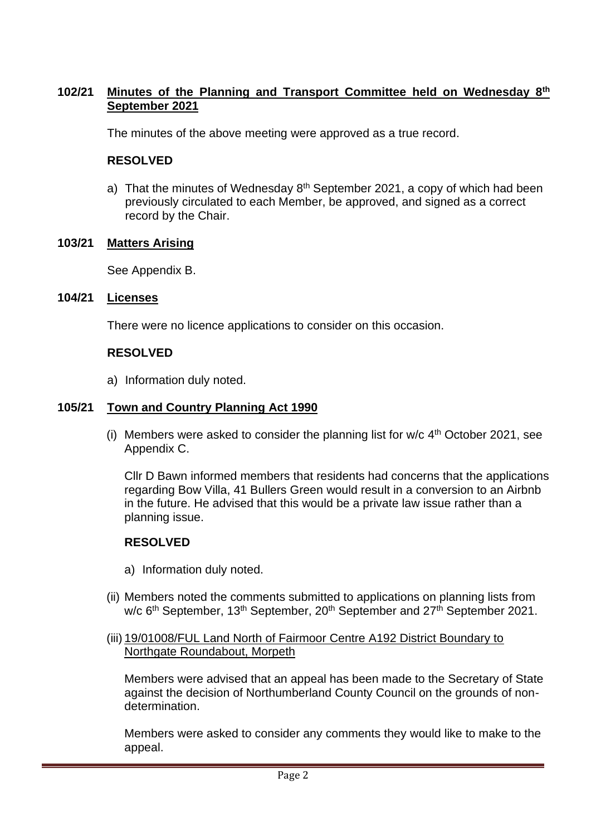#### **102/21 Minutes of the Planning and Transport Committee held on Wednesday 8th September 2021**

The minutes of the above meeting were approved as a true record.

#### **RESOLVED**

a) That the minutes of Wednesday  $8<sup>th</sup>$  September 2021, a copy of which had been previously circulated to each Member, be approved, and signed as a correct record by the Chair.

#### **103/21 Matters Arising**

See Appendix B.

#### **104/21 Licenses**

There were no licence applications to consider on this occasion.

### **RESOLVED**

a) Information duly noted.

### **105/21 Town and Country Planning Act 1990**

(i) Members were asked to consider the planning list for  $w/c$  4<sup>th</sup> October 2021, see Appendix C.

Cllr D Bawn informed members that residents had concerns that the applications regarding Bow Villa, 41 Bullers Green would result in a conversion to an Airbnb in the future. He advised that this would be a private law issue rather than a planning issue.

#### **RESOLVED**

- a) Information duly noted.
- (ii) Members noted the comments submitted to applications on planning lists from w/c 6<sup>th</sup> September, 13<sup>th</sup> September, 20<sup>th</sup> September and 27<sup>th</sup> September 2021.
- (iii) 19/01008/FUL Land North of Fairmoor Centre A192 District Boundary to Northgate Roundabout, Morpeth

Members were advised that an appeal has been made to the Secretary of State against the decision of Northumberland County Council on the grounds of nondetermination.

Members were asked to consider any comments they would like to make to the appeal.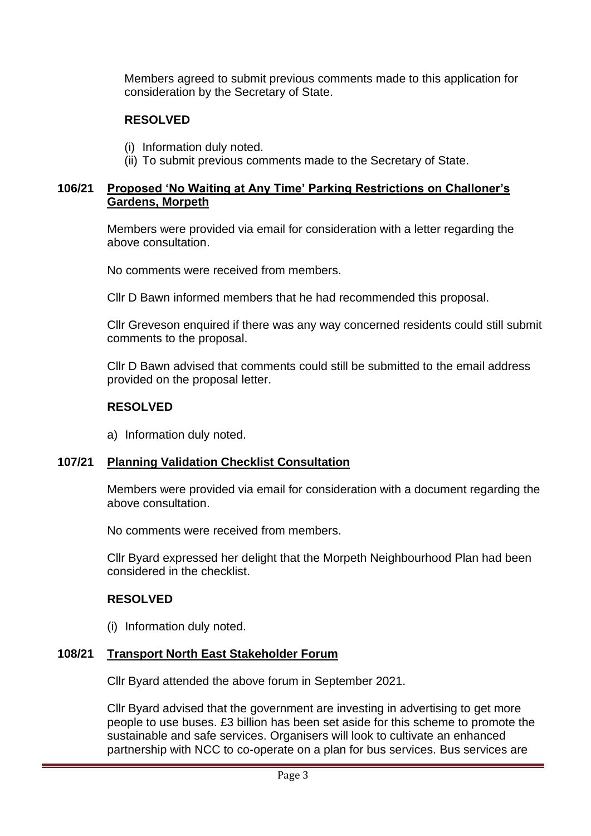Members agreed to submit previous comments made to this application for consideration by the Secretary of State.

## **RESOLVED**

- (i) Information duly noted.
- (ii) To submit previous comments made to the Secretary of State.

#### **106/21 Proposed 'No Waiting at Any Time' Parking Restrictions on Challoner's Gardens, Morpeth**

Members were provided via email for consideration with a letter regarding the above consultation.

No comments were received from members.

Cllr D Bawn informed members that he had recommended this proposal.

Cllr Greveson enquired if there was any way concerned residents could still submit comments to the proposal.

Cllr D Bawn advised that comments could still be submitted to the email address provided on the proposal letter.

#### **RESOLVED**

a) Information duly noted.

#### **107/21 Planning Validation Checklist Consultation**

Members were provided via email for consideration with a document regarding the above consultation.

No comments were received from members.

Cllr Byard expressed her delight that the Morpeth Neighbourhood Plan had been considered in the checklist.

## **RESOLVED**

(i) Information duly noted.

#### **108/21 Transport North East Stakeholder Forum**

Cllr Byard attended the above forum in September 2021.

Cllr Byard advised that the government are investing in advertising to get more people to use buses. £3 billion has been set aside for this scheme to promote the sustainable and safe services. Organisers will look to cultivate an enhanced partnership with NCC to co-operate on a plan for bus services. Bus services are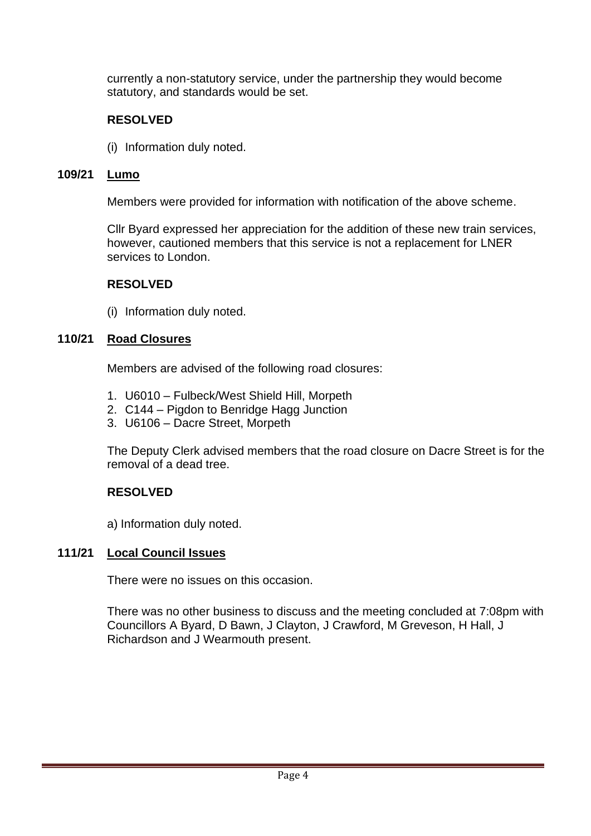currently a non-statutory service, under the partnership they would become statutory, and standards would be set.

## **RESOLVED**

(i) Information duly noted.

### **109/21 Lumo**

Members were provided for information with notification of the above scheme.

Cllr Byard expressed her appreciation for the addition of these new train services, however, cautioned members that this service is not a replacement for LNER services to London.

### **RESOLVED**

(i) Information duly noted.

## **110/21 Road Closures**

Members are advised of the following road closures:

- 1. U6010 Fulbeck/West Shield Hill, Morpeth
- 2. C144 Pigdon to Benridge Hagg Junction
- 3. U6106 Dacre Street, Morpeth

The Deputy Clerk advised members that the road closure on Dacre Street is for the removal of a dead tree.

## **RESOLVED**

a) Information duly noted.

#### **111/21 Local Council Issues**

There were no issues on this occasion.

There was no other business to discuss and the meeting concluded at 7:08pm with Councillors A Byard, D Bawn, J Clayton, J Crawford, M Greveson, H Hall, J Richardson and J Wearmouth present.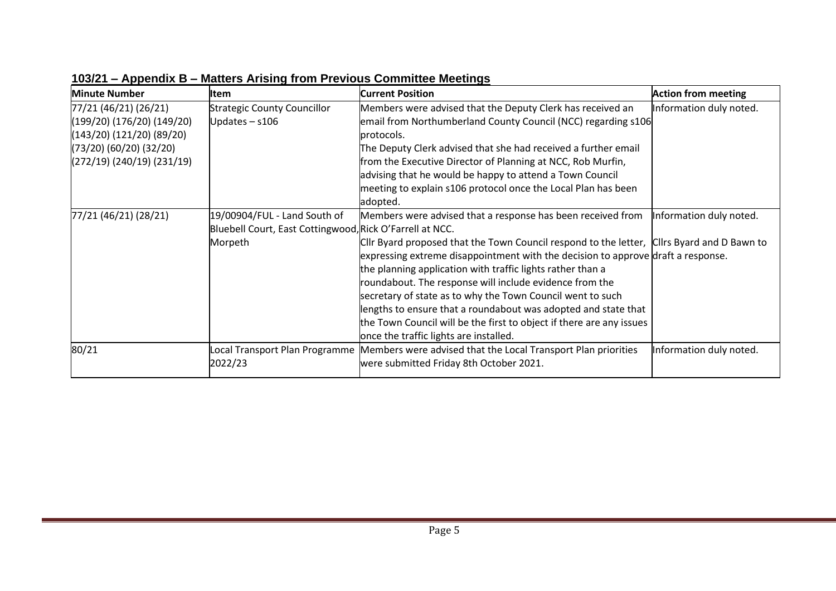| <b>Minute Number</b>       | lltem                                                    | <b>Current Position</b>                                                                    | <b>Action from meeting</b> |
|----------------------------|----------------------------------------------------------|--------------------------------------------------------------------------------------------|----------------------------|
| 77/21 (46/21) (26/21)      | <b>Strategic County Councillor</b>                       | Members were advised that the Deputy Clerk has received an                                 | Information duly noted.    |
| (199/20) (176/20) (149/20) | Updates $-$ s106                                         | email from Northumberland County Council (NCC) regarding s106                              |                            |
| (143/20) (121/20) (89/20)  |                                                          | protocols.                                                                                 |                            |
| (73/20) (60/20) (32/20)    |                                                          | The Deputy Clerk advised that she had received a further email                             |                            |
| (272/19) (240/19) (231/19) |                                                          | from the Executive Director of Planning at NCC, Rob Murfin,                                |                            |
|                            |                                                          | advising that he would be happy to attend a Town Council                                   |                            |
|                            |                                                          | meeting to explain s106 protocol once the Local Plan has been                              |                            |
|                            |                                                          | adopted.                                                                                   |                            |
| 77/21 (46/21) (28/21)      | 19/00904/FUL - Land South of                             | Members were advised that a response has been received from                                | Information duly noted.    |
|                            | Bluebell Court, East Cottingwood, Rick O'Farrell at NCC. |                                                                                            |                            |
|                            | Morpeth                                                  | CIIr Byard proposed that the Town Council respond to the letter, CIIrs Byard and D Bawn to |                            |
|                            |                                                          | expressing extreme disappointment with the decision to approve draft a response.           |                            |
|                            |                                                          | the planning application with traffic lights rather than a                                 |                            |
|                            |                                                          | roundabout. The response will include evidence from the                                    |                            |
|                            |                                                          | secretary of state as to why the Town Council went to such                                 |                            |
|                            |                                                          | lengths to ensure that a roundabout was adopted and state that                             |                            |
|                            |                                                          | the Town Council will be the first to object if there are any issues                       |                            |
|                            |                                                          | once the traffic lights are installed.                                                     |                            |
| 80/21                      | Local Transport Plan Programme                           | Members were advised that the Local Transport Plan priorities                              | Information duly noted.    |
|                            | 2022/23                                                  | were submitted Friday 8th October 2021.                                                    |                            |
|                            |                                                          |                                                                                            |                            |

**103/21 – Appendix B – Matters Arising from Previous Committee Meetings**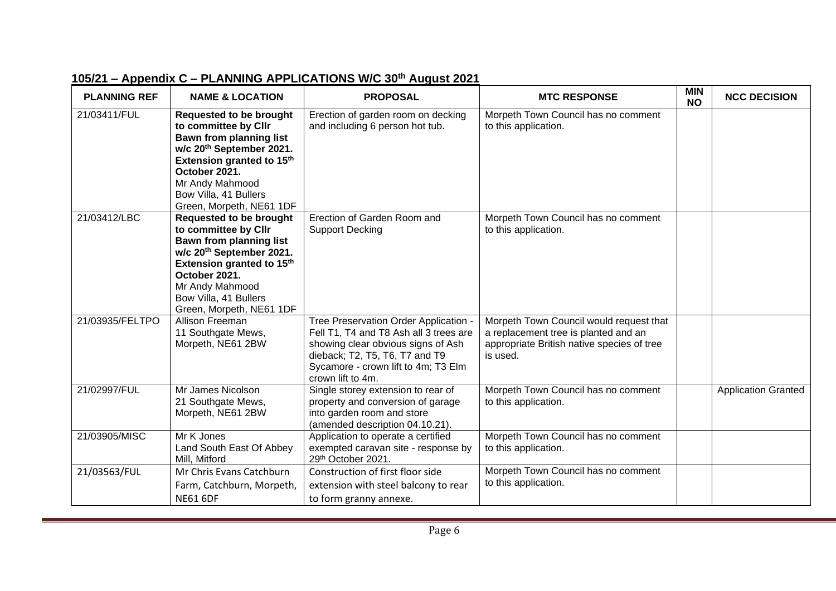| <b>PLANNING REF</b> | <b>NAME &amp; LOCATION</b>                                                                                                                                                                                                                                         | <b>PROPOSAL</b>                                                                                                                                                                                                     | <b>MTC RESPONSE</b>                                                                                                                       | <b>MIN</b><br><b>NO</b> | <b>NCC DECISION</b>        |
|---------------------|--------------------------------------------------------------------------------------------------------------------------------------------------------------------------------------------------------------------------------------------------------------------|---------------------------------------------------------------------------------------------------------------------------------------------------------------------------------------------------------------------|-------------------------------------------------------------------------------------------------------------------------------------------|-------------------------|----------------------------|
| 21/03411/FUL        | <b>Requested to be brought</b><br>to committee by Cllr<br><b>Bawn from planning list</b><br>w/c 20 <sup>th</sup> September 2021.<br>Extension granted to 15 <sup>th</sup><br>October 2021.<br>Mr Andy Mahmood<br>Bow Villa, 41 Bullers<br>Green, Morpeth, NE61 1DF | Erection of garden room on decking<br>and including 6 person hot tub.                                                                                                                                               | Morpeth Town Council has no comment<br>to this application.                                                                               |                         |                            |
| 21/03412/LBC        | <b>Requested to be brought</b><br>to committee by Cllr<br>Bawn from planning list<br>w/c 20th September 2021.<br>Extension granted to 15th<br>October 2021.<br>Mr Andy Mahmood<br>Bow Villa, 41 Bullers<br>Green, Morpeth, NE61 1DF                                | Erection of Garden Room and<br><b>Support Decking</b>                                                                                                                                                               | Morpeth Town Council has no comment<br>to this application.                                                                               |                         |                            |
| 21/03935/FELTPO     | Allison Freeman<br>11 Southgate Mews,<br>Morpeth, NE61 2BW                                                                                                                                                                                                         | Tree Preservation Order Application -<br>Fell T1, T4 and T8 Ash all 3 trees are<br>showing clear obvious signs of Ash<br>dieback; T2, T5, T6, T7 and T9<br>Sycamore - crown lift to 4m; T3 Elm<br>crown lift to 4m. | Morpeth Town Council would request that<br>a replacement tree is planted and an<br>appropriate British native species of tree<br>is used. |                         |                            |
| 21/02997/FUL        | Mr James Nicolson<br>21 Southgate Mews,<br>Morpeth, NE61 2BW                                                                                                                                                                                                       | Single storey extension to rear of<br>property and conversion of garage<br>into garden room and store<br>(amended description 04.10.21).                                                                            | Morpeth Town Council has no comment<br>to this application.                                                                               |                         | <b>Application Granted</b> |
| 21/03905/MISC       | Mr K Jones<br>Land South East Of Abbey<br>Mill, Mitford                                                                                                                                                                                                            | Application to operate a certified<br>exempted caravan site - response by<br>29th October 2021.                                                                                                                     | Morpeth Town Council has no comment<br>to this application.                                                                               |                         |                            |
| 21/03563/FUL        | Mr Chris Evans Catchburn<br>Farm, Catchburn, Morpeth,<br><b>NE61 6DF</b>                                                                                                                                                                                           | Construction of first floor side<br>extension with steel balcony to rear<br>to form granny annexe.                                                                                                                  | Morpeth Town Council has no comment<br>to this application.                                                                               |                         |                            |

# **105/21 – Appendix C – PLANNING APPLICATIONS W/C 30th August 2021**